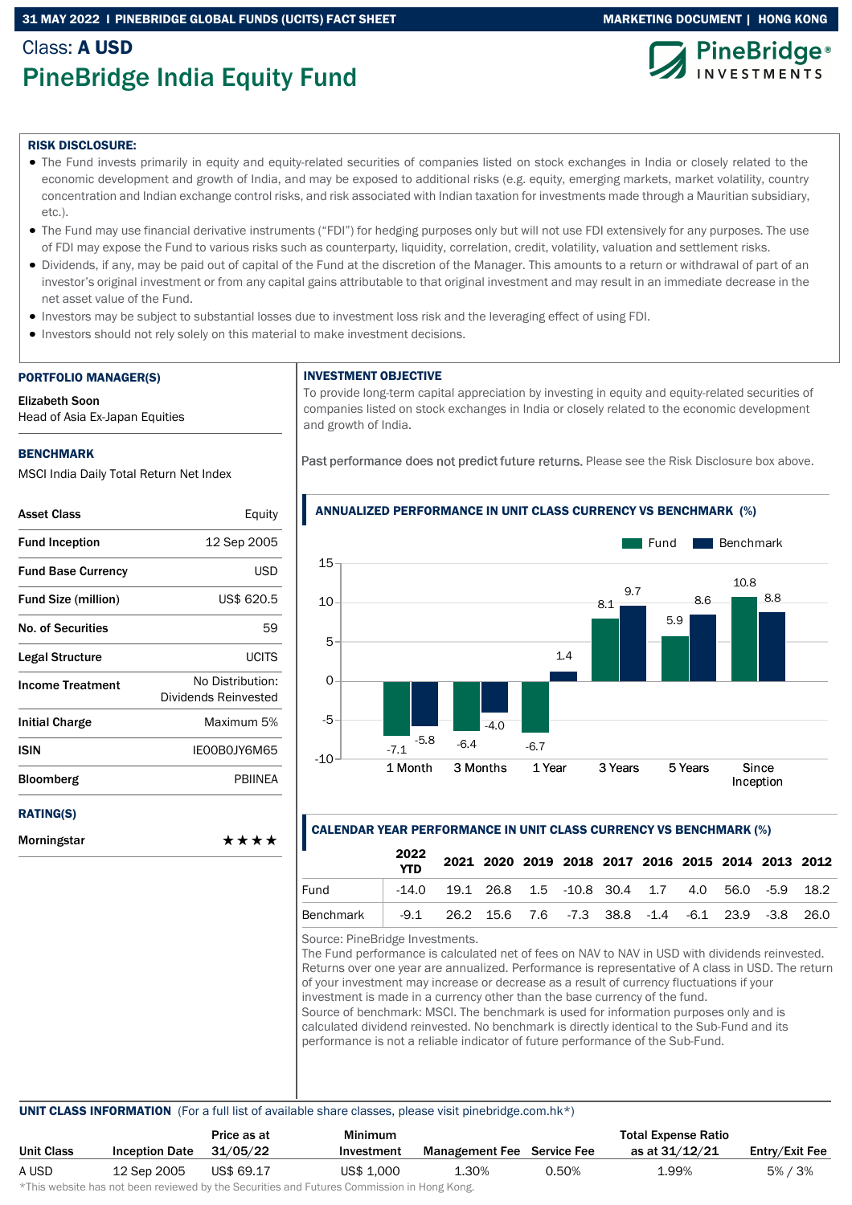#### 31 MAY 2022 I PINEBRIDGE GLOBAL FUNDS (UCITS) FACT SHEET MARKETING DOCUMENT | HONG KONG

## Class: A USD PineBridge India Equity Fund





#### RISK DISCLOSURE:

- The Fund invests primarily in equity and equity-related securities of companies listed on stock exchanges in India or closely related to the economic development and growth of India, and may be exposed to additional risks (e.g. equity, emerging markets, market volatility, country concentration and Indian exchange control risks, and risk associated with Indian taxation for investments made through a Mauritian subsidiary, etc.).
- The Fund may use financial derivative instruments ("FDI") for hedging purposes only but will not use FDI extensively for any purposes. The use of FDI may expose the Fund to various risks such as counterparty, liquidity, correlation, credit, volatility, valuation and settlement risks.
- Dividends, if any, may be paid out of capital of the Fund at the discretion of the Manager. This amounts to a return or withdrawal of part of an investor's original investment or from any capital gains attributable to that original investment and may result in an immediate decrease in the net asset value of the Fund.
- Investors may be subject to substantial losses due to investment loss risk and the leveraging effect of using FDI.
- Investors should not rely solely on this material to make investment decisions.

#### PORTFOLIO MANAGER(S)

Elizabeth Soon

Head of Asia Ex-Japan Equities

#### BENCHMARK

MSCI India Daily Total Return Net Index

| <b>Asset Class</b>         | Equity                                   |
|----------------------------|------------------------------------------|
| <b>Fund Inception</b>      | 12 Sep 2005                              |
| <b>Fund Base Currency</b>  | USD                                      |
| <b>Fund Size (million)</b> | US\$ 620.5                               |
| <b>No. of Securities</b>   | 59                                       |
| Legal Structure            | UCITS                                    |
| <b>Income Treatment</b>    | No Distribution:<br>Dividends Reinvested |
| <b>Initial Charge</b>      | Maximum 5%                               |
| <b>ISIN</b>                | IE00B0JY6M65                             |
| Bloomberg                  | <b>PBIINEA</b>                           |
| <b>RATING(S)</b>           |                                          |
| Morningstar                | ****                                     |

#### INVESTMENT OBJECTIVE

To provide long-term capital appreciation by investing in equity and equity-related securities of companies listed on stock exchanges in India or closely related to the economic development and growth of India.

Past performance does not predict future returns. Please see the Risk Disclosure box above.



ANNUALIZED PERFORMANCE IN UNIT CLASS CURRENCY VS BENCHMARK (%)

#### CALENDAR YEAR PERFORMANCE IN UNIT CLASS CURRENCY VS BENCHMARK (%)

|           | 2022<br><b>YTD</b> |                                                             | 2021 2020 2019 2018 2017 2016 2015 2014 2013 2012 |  |  |  |  |
|-----------|--------------------|-------------------------------------------------------------|---------------------------------------------------|--|--|--|--|
| Fund      |                    | $-14.0$ 19.1 26.8 1.5 $-10.8$ 30.4 1.7 4.0 56.0 $-5.9$ 18.2 |                                                   |  |  |  |  |
| Benchmark |                    | $-9.1$ 26.2 15.6 7.6 -7.3 38.8 -1.4 -6.1 23.9 -3.8 26.0     |                                                   |  |  |  |  |

Source: PineBridge Investments.

The Fund performance is calculated net of fees on NAV to NAV in USD with dividends reinvested. Returns over one year are annualized. Performance is representative of A class in USD. The return of your investment may increase or decrease as a result of currency fluctuations if your investment is made in a currency other than the base currency of the fund. Source of benchmark: MSCI. The benchmark is used for information purposes only and is calculated dividend reinvested. No benchmark is directly identical to the Sub-Fund and its performance is not a reliable indicator of future performance of the Sub-Fund.

UNIT CLASS INFORMATION (For a full list of available share classes, please visit pinebridge.com.hk\*)

|                   |                       | Price as at | Minimum    |                                   |       | <b>Total Expense Ratio</b> |                |
|-------------------|-----------------------|-------------|------------|-----------------------------------|-------|----------------------------|----------------|
| <b>Unit Class</b> | <b>Inception Date</b> | 31/05/22    | Investment | <b>Management Fee</b> Service Fee |       | as at 31/12/21             | Entry/Exit Fee |
| A USD             | 12 Sep 2005           | US\$ 69.17  | US\$ 1,000 | ⊥.30%                             | 0.50% | 99%⊥                       | 5% / 3%        |

\*This website has not been reviewed by the Securities and Futures Commission in Hong Kong.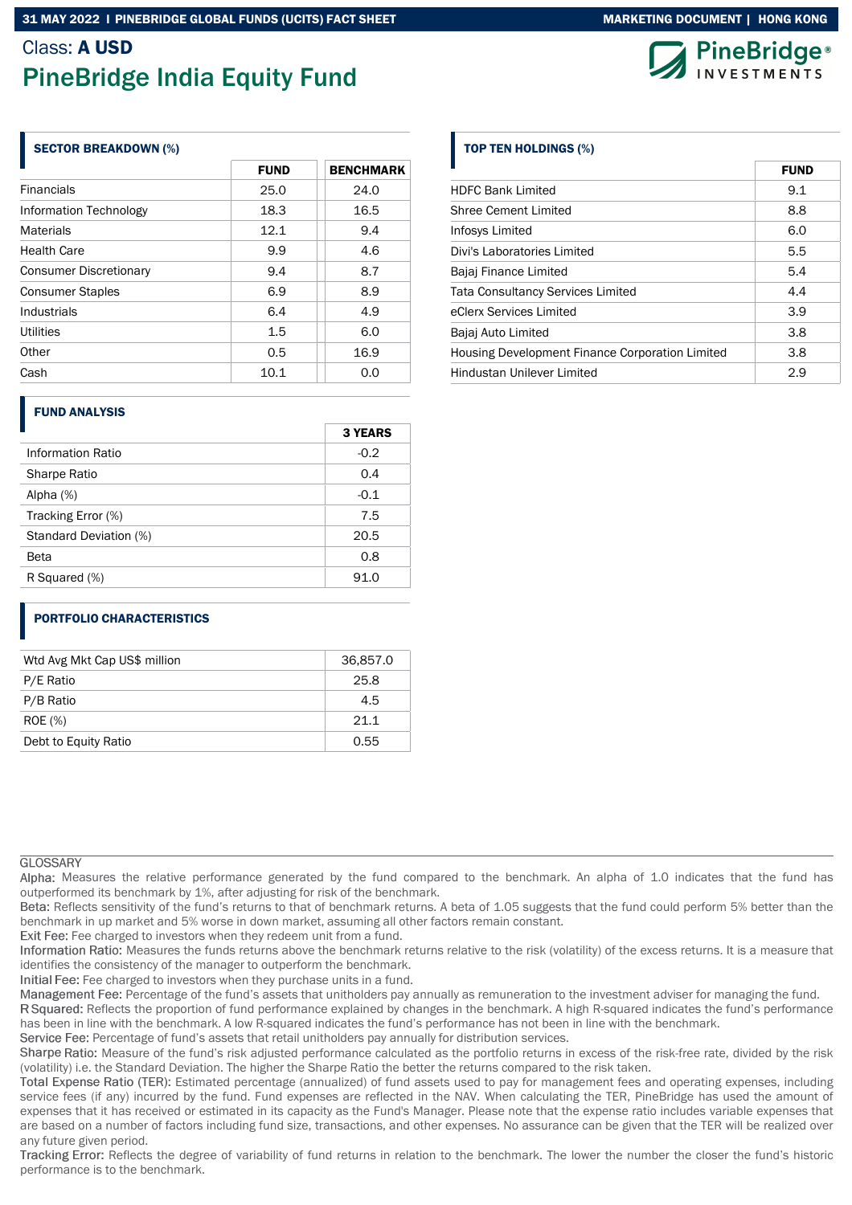### Class: A USD

# PineBridge India Equity Fund

#### SECTOR BREAKDOWN (%)

|                               | <b>FUND</b> | <b>BENCHMARK</b> |  |  |
|-------------------------------|-------------|------------------|--|--|
| <b>Financials</b>             | 25.0        | 24.0             |  |  |
| Information Technology        | 18.3        | 16.5             |  |  |
| <b>Materials</b>              | 12.1        | 9.4              |  |  |
| <b>Health Care</b>            | 9.9         | 4.6              |  |  |
| <b>Consumer Discretionary</b> | 9.4         | 8.7              |  |  |
| <b>Consumer Staples</b>       | 6.9         | 8.9              |  |  |
| Industrials                   | 6.4         | 4.9              |  |  |
| Utilities                     | 1.5         | 6.0              |  |  |
| Other                         | 0.5         | 16.9             |  |  |
| Cash                          | 10.1        | 0.0              |  |  |

#### FUND ANALYSIS

| $-0.2$<br><b>Information Ratio</b><br><b>Sharpe Ratio</b><br>0.4<br>$-0.1$<br>Alpha $(%)$<br>Tracking Error (%)<br>7.5<br>20.5<br>Standard Deviation (%)<br>0.8<br>Beta | <b>3 YEARS</b> |
|-------------------------------------------------------------------------------------------------------------------------------------------------------------------------|----------------|
|                                                                                                                                                                         |                |
|                                                                                                                                                                         |                |
|                                                                                                                                                                         |                |
|                                                                                                                                                                         |                |
|                                                                                                                                                                         |                |
|                                                                                                                                                                         |                |
| R Squared (%)<br>91.0                                                                                                                                                   |                |

#### PORTFOLIO CHARACTERISTICS

| Wtd Avg Mkt Cap US\$ million | 36,857.0 |
|------------------------------|----------|
| P/E Ratio                    | 25.8     |
| P/B Ratio                    | 4.5      |
| <b>ROE</b> (%)               | 211      |
| Debt to Equity Ratio         | 0.55     |

#### **GLOSSARY**

Alpha: Measures the relative performance generated by the fund compared to the benchmark. An alpha of 1.0 indicates that the fund has outperformed its benchmark by 1%, after adjusting for risk of the benchmark.

Beta: Reflects sensitivity of the fund's returns to that of benchmark returns. A beta of 1.05 suggests that the fund could perform 5% better than the benchmark in up market and 5% worse in down market, assuming all other factors remain constant.

Exit Fee: Fee charged to investors when they redeem unit from a fund.

Information Ratio: Measures the funds returns above the benchmark returns relative to the risk (volatility) of the excess returns. It is a measure that identifies the consistency of the manager to outperform the benchmark.

Initial Fee: Fee charged to investors when they purchase units in a fund.

Management Fee: Percentage of the fund's assets that unitholders pay annually as remuneration to the investment adviser for managing the fund.

R Squared: Reflects the proportion of fund performance explained by changes in the benchmark. A high R-squared indicates the fund's performance has been in line with the benchmark. A low R-squared indicates the fund's performance has not been in line with the benchmark.

Service Fee: Percentage of fund's assets that retail unitholders pay annually for distribution services.

Sharpe Ratio: Measure of the fund's risk adjusted performance calculated as the portfolio returns in excess of the risk-free rate, divided by the risk (volatility) i.e. the Standard Deviation. The higher the Sharpe Ratio the better the returns compared to the risk taken.

Total Expense Ratio (TER): Estimated percentage (annualized) of fund assets used to pay for management fees and operating expenses, including service fees (if any) incurred by the fund. Fund expenses are reflected in the NAV. When calculating the TER, PineBridge has used the amount of expenses that it has received or estimated in its capacity as the Fund's Manager. Please note that the expense ratio includes variable expenses that are based on a number of factors including fund size, transactions, and other expenses. No assurance can be given that the TER will be realized over any future given period.

Tracking Error: Reflects the degree of variability of fund returns in relation to the benchmark. The lower the number the closer the fund's historic performance is to the benchmark.

### TOP TEN HOLDINGS (%)

|                                                 | FUND |
|-------------------------------------------------|------|
| <b>HDFC Bank Limited</b>                        | 9.1  |
| Shree Cement Limited                            | 8.8  |
| Infosys Limited                                 | 6.0  |
| Divi's Laboratories Limited                     | 5.5  |
| Bajaj Finance Limited                           | 5.4  |
| <b>Tata Consultancy Services Limited</b>        | 4.4  |
| eClerx Services Limited                         | 3.9  |
| Bajaj Auto Limited                              | 3.8  |
| Housing Development Finance Corporation Limited | 3.8  |
| Hindustan Unilever Limited                      | 2.9  |



FUND